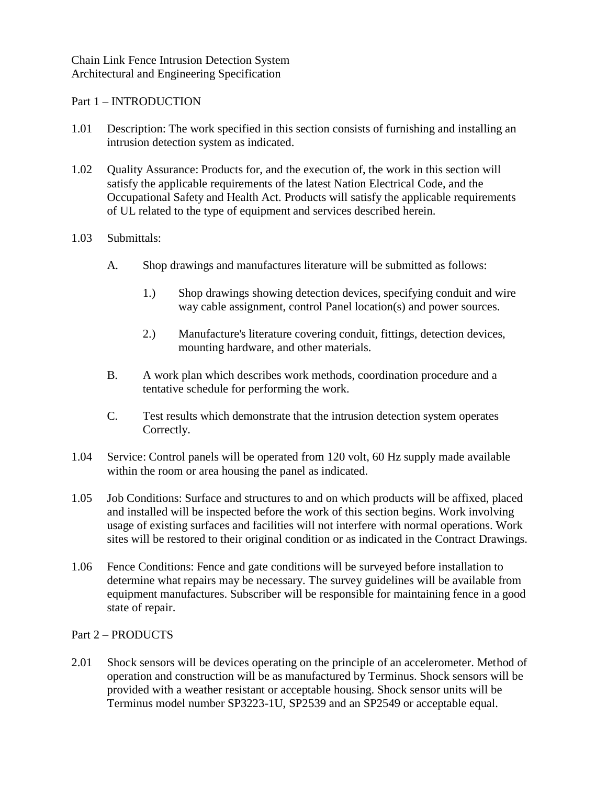Chain Link Fence Intrusion Detection System Architectural and Engineering Specification

## Part 1 – INTRODUCTION

- 1.01 Description: The work specified in this section consists of furnishing and installing an intrusion detection system as indicated.
- 1.02 Quality Assurance: Products for, and the execution of, the work in this section will satisfy the applicable requirements of the latest Nation Electrical Code, and the Occupational Safety and Health Act. Products will satisfy the applicable requirements of UL related to the type of equipment and services described herein.

## 1.03 Submittals:

- A. Shop drawings and manufactures literature will be submitted as follows:
	- 1.) Shop drawings showing detection devices, specifying conduit and wire way cable assignment, control Panel location(s) and power sources.
	- 2.) Manufacture's literature covering conduit, fittings, detection devices, mounting hardware, and other materials.
- B. A work plan which describes work methods, coordination procedure and a tentative schedule for performing the work.
- C. Test results which demonstrate that the intrusion detection system operates Correctly.
- 1.04 Service: Control panels will be operated from 120 volt, 60 Hz supply made available within the room or area housing the panel as indicated.
- 1.05 Job Conditions: Surface and structures to and on which products will be affixed, placed and installed will be inspected before the work of this section begins. Work involving usage of existing surfaces and facilities will not interfere with normal operations. Work sites will be restored to their original condition or as indicated in the Contract Drawings.
- 1.06 Fence Conditions: Fence and gate conditions will be surveyed before installation to determine what repairs may be necessary. The survey guidelines will be available from equipment manufactures. Subscriber will be responsible for maintaining fence in a good state of repair.

## Part 2 – PRODUCTS

2.01 Shock sensors will be devices operating on the principle of an accelerometer. Method of operation and construction will be as manufactured by Terminus. Shock sensors will be provided with a weather resistant or acceptable housing. Shock sensor units will be Terminus model number SP3223-1U, SP2539 and an SP2549 or acceptable equal.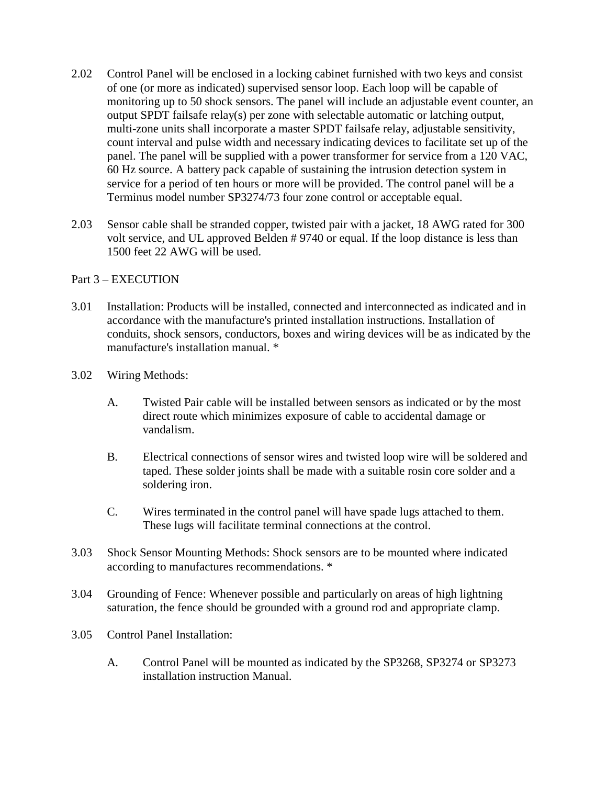- 2.02 Control Panel will be enclosed in a locking cabinet furnished with two keys and consist of one (or more as indicated) supervised sensor loop. Each loop will be capable of monitoring up to 50 shock sensors. The panel will include an adjustable event counter, an output SPDT failsafe relay(s) per zone with selectable automatic or latching output, multi-zone units shall incorporate a master SPDT failsafe relay, adjustable sensitivity, count interval and pulse width and necessary indicating devices to facilitate set up of the panel. The panel will be supplied with a power transformer for service from a 120 VAC, 60 Hz source. A battery pack capable of sustaining the intrusion detection system in service for a period of ten hours or more will be provided. The control panel will be a Terminus model number SP3274/73 four zone control or acceptable equal.
- 2.03 Sensor cable shall be stranded copper, twisted pair with a jacket, 18 AWG rated for 300 volt service, and UL approved Belden # 9740 or equal. If the loop distance is less than 1500 feet 22 AWG will be used.

## Part 3 – EXECUTION

- 3.01 Installation: Products will be installed, connected and interconnected as indicated and in accordance with the manufacture's printed installation instructions. Installation of conduits, shock sensors, conductors, boxes and wiring devices will be as indicated by the manufacture's installation manual. \*
- 3.02 Wiring Methods:
	- A. Twisted Pair cable will be installed between sensors as indicated or by the most direct route which minimizes exposure of cable to accidental damage or vandalism.
	- B. Electrical connections of sensor wires and twisted loop wire will be soldered and taped. These solder joints shall be made with a suitable rosin core solder and a soldering iron.
	- C. Wires terminated in the control panel will have spade lugs attached to them. These lugs will facilitate terminal connections at the control.
- 3.03 Shock Sensor Mounting Methods: Shock sensors are to be mounted where indicated according to manufactures recommendations. \*
- 3.04 Grounding of Fence: Whenever possible and particularly on areas of high lightning saturation, the fence should be grounded with a ground rod and appropriate clamp.
- 3.05 Control Panel Installation:
	- A. Control Panel will be mounted as indicated by the SP3268, SP3274 or SP3273 installation instruction Manual.